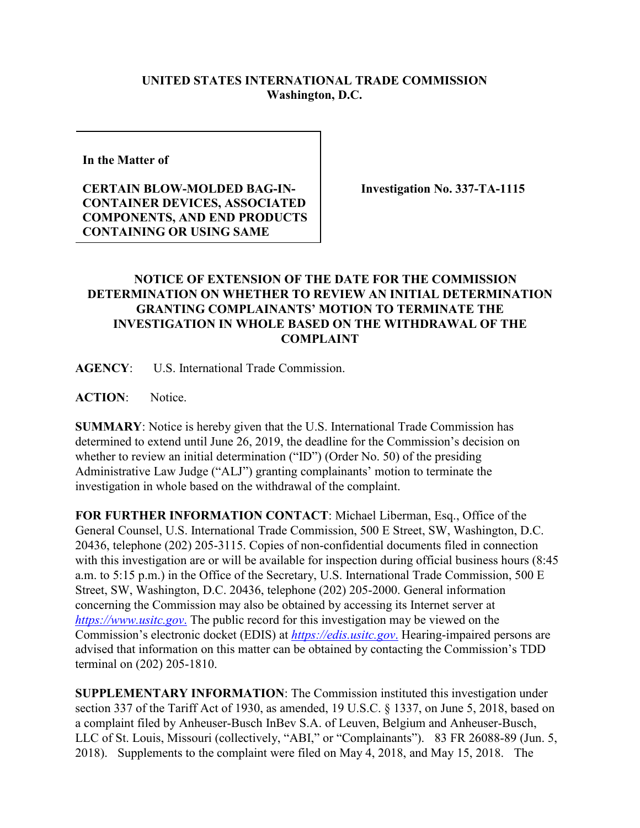## **UNITED STATES INTERNATIONAL TRADE COMMISSION Washington, D.C.**

**In the Matter of** 

## **CERTAIN BLOW-MOLDED BAG-IN-CONTAINER DEVICES, ASSOCIATED COMPONENTS, AND END PRODUCTS CONTAINING OR USING SAME**

**Investigation No. 337-TA-1115**

## **NOTICE OF EXTENSION OF THE DATE FOR THE COMMISSION DETERMINATION ON WHETHER TO REVIEW AN INITIAL DETERMINATION GRANTING COMPLAINANTS' MOTION TO TERMINATE THE INVESTIGATION IN WHOLE BASED ON THE WITHDRAWAL OF THE COMPLAINT**

**AGENCY**: U.S. International Trade Commission.

**ACTION**: Notice.

**SUMMARY**: Notice is hereby given that the U.S. International Trade Commission has determined to extend until June 26, 2019, the deadline for the Commission's decision on whether to review an initial determination ("ID") (Order No. 50) of the presiding Administrative Law Judge ("ALJ") granting complainants' motion to terminate the investigation in whole based on the withdrawal of the complaint.

**FOR FURTHER INFORMATION CONTACT**: Michael Liberman, Esq., Office of the General Counsel, U.S. International Trade Commission, 500 E Street, SW, Washington, D.C. 20436, telephone (202) 205-3115. Copies of non-confidential documents filed in connection with this investigation are or will be available for inspection during official business hours (8:45) a.m. to 5:15 p.m.) in the Office of the Secretary, U.S. International Trade Commission, 500 E Street, SW, Washington, D.C. 20436, telephone (202) 205-2000. General information concerning the Commission may also be obtained by accessing its Internet server at *[https://www.usitc.gov](https://www.usitc.gov./)*. The public record for this investigation may be viewed on the Commission's electronic docket (EDIS) at *[https://edis.usitc.gov](https://edis.usitc.gov./)*. Hearing-impaired persons are advised that information on this matter can be obtained by contacting the Commission's TDD terminal on (202) 205-1810.

**SUPPLEMENTARY INFORMATION**: The Commission instituted this investigation under section 337 of the Tariff Act of 1930, as amended, 19 U.S.C. § 1337, on June 5, 2018, based on a complaint filed by Anheuser-Busch InBev S.A. of Leuven, Belgium and Anheuser-Busch, LLC of St. Louis, Missouri (collectively, "ABI," or "Complainants"). 83 FR 26088-89 (Jun. 5, 2018). Supplements to the complaint were filed on May 4, 2018, and May 15, 2018. The